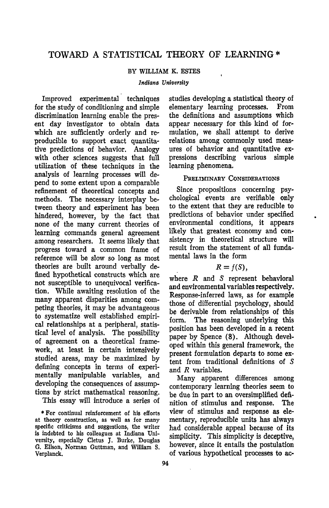#### BY WILLIAM K. ESTES

#### *Indiana University*

Improved experimental techniques for the study of conditioning and simple discrimination learning enable the present day investigator to obtain data which are sufficiently orderly and reproducible to support exact quantitative predictions of behavior. Analogy with other sciences suggests that full utilization of these techniques in the analysis of learning processes will depend to some extent upon a comparable refinement of theoretical concepts and methods. The necessary interplay between theory and experiment has been hindered, however, by the fact that none of the many current theories of learning commands general agreement among researchers. It seems likely that progress toward a common frame of reference will be slow so long as most theories are built around verbally defined hypothetical constructs which are not susceptible to unequivocal verification. While awaiting resolution of the many apparent disparities among competing theories, it may be advantageous to systematize well established empirical relationships at a peripheral, statistical level of analysis. The possibility of agreement on a theoretical framework, at least in certain intensively studied areas, may be maximized by defining concepts in terms of experimentally manipulable variables, and developing the consequences of assumptions by strict mathematical reasoning.

This essay will introduce a series of

\*For continual reinforcement of his efforts at theory construction, as well as for many specific criticisms and suggestions, the writer is indebted to his colleagues at Indiana University, especially Cletus J. Burke, Douglas G. Ellson, Norman Guttman, and William S. Verplanck.

studies developing a statistical theory of elementary learning processes. From the definitions and assumptions which appear necessary for this- kind of formulation, we shall attempt to derive relations among commonly used measures of behavior and quantitative expressions describing various simple learning phenomena.

### PRELIMINARY CONSIDERATIONS

Since propositions concerning psychological events are verifiable only to the extent that they are reducible to predictions of behavior under specified environmental conditions, it appears likely that greatest economy and consistency in theoretical structure will result from the statement of all fundamental laws in the form

# $R = f(S)$ .

where  $R$  and  $S$  represent behavioral and environmental variables respectively. Response-inferred laws, as for example those of differential psychology, should be derivable from relationships of this form. The reasoning underlying this position has been developed in a recent paper by Spence (8). Although developed within this general framework, the present formulation departs to some extent from traditional definitions of S and *R* variables.

Many apparent differences among contemporary learning theories seem to be due in part to an oversimplified definition of stimulus and response. The view of stimulus and response as elementary, reproducible units has always had considerable appeal because of its simplicity. This simplicity is deceptive, however, since it entails the postulation of various hypothetical processes to ac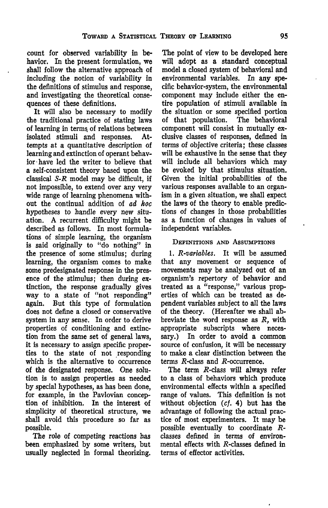count for observed variability in behavior. In the present formulation, we shall follow the alternative approach of including the notion of variability in the definitions of stimulus and response, and investigating the theoretical consequences of these definitions.

It will also be necessary to modify the traditional practice of stating laws of learning in terms of relations between<br>isolated stimuli and responses. Atisolated stimuli and responses. tempts at a quantitative description of learning and extinction of operant behavior-have led the writer to believe that a self-consistent theory based upon the classical *S-R* model may be difficult, if not impossible, to extend over any very wide range of learning phenomena without the continual addition of *ad hoc* hypotheses to handle every new situation. A recurrent difficulty might be described as follows. In most formulations of simple learning, the organism is said originally to "do nothing" in the presence of some stimulus; during learning, the organism comes to make some predesignated response in the presence of the stimulus; then during extinction, the response gradually gives way to a state of "not responding"<br>again. But this type of formulation But this type of formulation does not define a closed or conservative system in any sense. In order to derive properties of conditioning and extinction from the same set of general laws, it is necessary to assign specific properties to the state of not responding which is the alternative to occurrence of the designated response. One solution is to assign properties as needed by special hypotheses, as has been done, for example, in the Pavlovian conception of inhibition. In the interest of simplicity of theoretical structure, we shall avoid this procedure so far as possible.

The role of competing reactions has been emphasized by some writers, but usually neglected in formal theorizing.

The point of view to be developed here will adopt as a standard conceptual model a closed system of behavioral and environmental variables. In any specific behavior-system, the environmental component may include either the entire population of stimuli available in the situation or some specified portion of that population. The behavioral component will consist in mutually exclusive classes of responses, defined in terms of objective criteria; these classes will be exhaustive in the sense that they will include all behaviors which may be evoked by that stimulus situation. Given the initial probabilities of the various responses available to an organism in a given situation, we shall expect the laws of the theory to enable predictions of changes in those probabilities as a function of changes in values of independent variables.

### DEFINITIONS AND ASSUMPTIONS

1. *R-variables.* It will be assumed that any movement or sequence of movements may be analyzed out of an organism's repertory of behavior and treated as a "response," various properties of which can be treated as dependent variables subject to all the laws of the theory. (Hereafter we shall abbreviate the wprd response as *R,* with appropriate subscripts where necessary.) In order to avoid a common source of confusion, it will be necessary to make a clear distinction between the terms  $R$ -class and  $R$ -occurrence.

The term  $R$ -class will always refer to a class of behaviors which produce environmental effects within a specified range of values. This definition is not without objection *(cj.* 4) but has the advantage of following the actual practice of most experimenters. It may be possible eventually to coordinate  $R$ classes defined in terms of environmental effects with  $R$ -classes defined in terms of effector activities.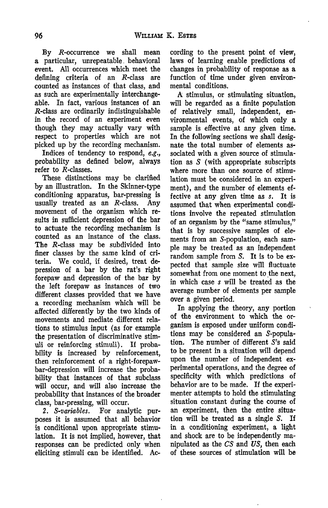By  $R$ -occurrence we shall mean a particular, unrepeatable, behavioral event. All occurrences which meet the defining criteria of an  $R$ -class are counted as instances of that class, and as such are experimentally interchangeable. In fact, various instances of an *-class are ordinarily indistinguishable* in the record of an experiment even though they may actually vary with respect to properties which are not picked up by the recording mechanism.

Indices of tendency to respond, *e.g.,* probability as defined below, always refer to  $R$ -classes.

These distinctions may be clarified by an illustration. In the Skinner-type conditioning apparatus, bar-pressing is usually treated as an  $R$ -class. Any movement of the organism which results in sufficient depression of the bar to actuate the recording mechanism is counted as an instance of the class. The R-class may be subdivided into finer classes by the same kind of criteria. We could, if desired, treat depression of a bar by the rat's right forepaw and depression of the bar by the left forepaw *as* instances of two different classes provided that we have a recording mechanism which will be affected differently by the two kinds of movements and mediate different relations to stimulus input (as for example the presentation of discriminative stimuli or reinforcing stimuli). If probability is increased by reinforcement, then reinforcement of a right-forepawbar-depression will increase the probability that instances of that subclass will occur, and will also increase the probability that instances of the broader class, bar-pressing, will occur.

*2. S-variables.* For analytic purposes it is assumed that all behavior is conditional upon appropriate stimulation. It is not implied, however, that responses can be predicted only when eliciting stimuli can be identified. According to the present point of view, laws of learning enable predictions of changes in probability of response as a function of time under given environmental conditions.

A stimulus, or stimulating situation, will be regarded as a finite population of relatively small, independent, environmental events, of which only a sample is effective at any given time. In the following sections we shall designate the total number of elements associated with a given source of stimulation as  $S$  (with appropriate subscripts where more than one source of stimulation must be considered in an experiment), and the number of elements effective at any given time as s. It is assumed that when experimental conditions involve the repeated stimulation of an organism by the "same stimulus," that is by successive samples of elements from an 5-population, each sample may be treated as an independent random sample from S. It is to be expected that sample size Will fluctuate somewhat from one moment to the next, in which case s will be treated as the average number of elements per sample over a given period.

In applying the theory, any portion of the environment to which the organism is exposed under uniform conditions may be considered an S-population. The number of different S's said to be present in a situation will depend upon the number of independent experimental operations, and the degree of specificity with which predictions of behavior are to be made. If the experimenter attempts to hold the stimulating situation constant during the course of an experiment, then the entire situation will be treated as a single S. If in a conditioning experiment, a light and shock are to be independently manipulated as the CS and *US,* then each of these sources of stimulation will be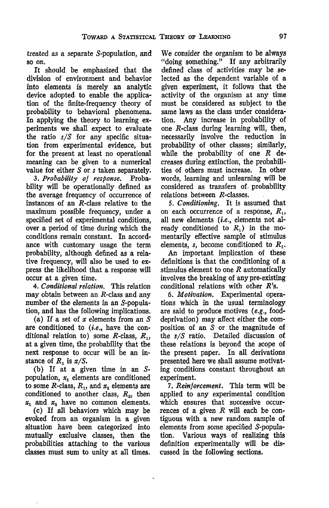treated as a separate S-population, and so on.

It should be emphasized that the division of environment and behavior into elements is merely an analytic device adopted to enable the application of the finite-frequency theory of probability to behavioral phenomena. In applying the theory to learning experiments we shall expect to evaluate the ratio  $s/S$  for any specific situation from experimental evidence, but for the present at least no operational meaning can be given to a numerical value for either *S or s* taken separately.

3. *Probability of response.* Probability will be operationally defined as the average frequency of occurrence of instances of an  $R$ -class relative to the maximum possible frequency, under a specified set of experimental conditions, over a period of time during which the conditions remain constant. In accordance with customary usage the term probability, although defined as a relative frequency, will also be used to express the likelihood that a response will occur at a given time.

4. *Conditional relation.* This relation may obtain between an  $R$ -class and any number of the elements in an S-population, and has the following implications.

(a) If a set of *x* elements from an S are conditioned to *(i.e.,* have the conditional relation to) some  $R$ -class,  $R_1$ , at a given time, the probability that the next response to occur will be an instance of  $R_1$  is  $x/S$ .

(b) If at a given time in an Spopulation, *x±* elements are conditioned to some *R*-class,  $R_1$ , and  $x_2$  elements are conditioned to another class,  $R<sub>2</sub>$ , then  $x_1$  and  $x_2$  have no common elements.

(c) If all behaviors which may be evoked from an organism in a given situation have been categorized into mutually exclusive classes, then the probabilities attaching to the various classes must sum to unity at all times. We consider the organism to be always "doing something." If any arbitrarily defined class of activities may be selected as the dependent variable of a given experiment, it follows that the activity of the organism at any time must be considered as subject to the same laws as the class under consideration. Any increase in probability of one  $R$ -class during learning will, then, necessarily involve the reduction in probability of other classes; similarly, while the probability of one *R* decreases during extinction, the probabilities of others must increase. In other words, learning and unlearning will be considered as transfers of- probability relations between  $R$ -classes.

*5. Conditioning.* It is assumed that on each occurrence of a response,  $R_1$ , all new elements *(i.e.,* elements not already conditioned to  $R_1$ ) in the momentarily effective sample of stimulus elements,  $s$ , become conditioned to  $R_1$ .

An important implication of these definitions is that the conditioning of a stimulus element to one  $R$  automatically involves the breaking of any pre-existing conditional relations with other *R's.*

*6. Motivation.* Experimental operations which in the usual terminology are said to produce motives *(e.g.,* fooddeprivation) may affect either the composition of an *S* or the magnitude of the *s/S* ratio. Detailed discussion of these relations is beyond the scope of the present paper. In all derivations presented here we shall assume motivating conditions constant throughout an experiment.

7. *Reinforcement.* This term will be applied to any experimental condition which ensures that successive occurrences of a given *R* will each be contiguous with a new random sample of elements from some specified S-population. Various ways of realizing this definition experimentally will be discussed in the following sections.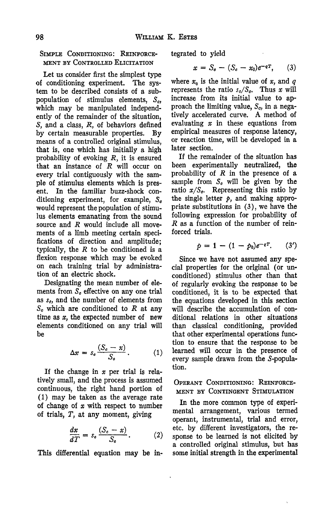# SIMPLE CONDITIONING: REINFORCE-MENT BY CONTROLLED ELICITATION

Let us consider first the simplest type of conditioning experiment. The system to be described consists of a subpopulation of stimulus elements, *S0,* which may be manipulated independently of the remainder of the situation, *S,* and a class, *R,* of behaviors defined by certain measurable properties. By means of a controlled original stimulus, that is, one which has initially a high probability of evoking *R,* it is ensured that an instance of *R* will occur on every trial contiguously with the sample of stimulus elements which is present. In the familiar buzz-shock conditioning experiment, for example, *S<sup>0</sup>* would represent the population of stimulus elements emanating from the sound source and  $R$  would include all movements of a limb meeting certain specifications of direction and amplitude; typically, the  $R$  to be conditioned is a flexion response which may be evoked on each training trial by administration of an electric shock.

Designating the mean number of elements from  $S<sub>o</sub>$  effective on any one trial as  $s_e$ , and the number of elements from *S0* which are conditioned to *R* at any time as *x,* the expected number of new elements conditioned on any trial will<br>be<br> $\Delta x = s_o \frac{(S_o - x)}{S_o}$ . (1) be

$$
\Delta x = s_o \frac{(S_o - x)}{S_o}.
$$
 (1)

If the change in *x* per trial is relatively small, and the process is assumed continuous, the right hand portion of (1) may be taken as the average rate of change of *x* with respect to number of trials, *T,* at any moment, giving

$$
\frac{dx}{dT} = s_e \frac{(S_e - x)}{S_e}.
$$
 (2)

This differential equation may be in-

tegrated to yield

$$
x = Sc - (Sc - x0)e-qT,
$$
 (3)

where  $x_0$  is the initial value of x, and q represents the ratio  $s_c/S_a$ . Thus x will increase from its initial value to approach the limiting value,  $S<sub>o</sub>$ , in a negatively accelerated curve. A method of evaluating *x* in these equations from empirical measures of response latency, or reaction time, will be developed in a later section.

If the remainder of the situation has been experimentally neutralized, the probability of *R* in the presence of a sample from  $S_0$  will be given by the ratio  $x/S<sub>o</sub>$ . Representing this ratio by the single letter *p,* and making appropriate substitutions in (3), we have the following expression for probability of *R* as a function of the number of reinforced trials.

$$
p = 1 - (1 - p_0)e^{-qT}.
$$
 (3')

Since we have not assumed any special properties for the original (or unconditioned) stimulus other than that of regularly evoking the response to be conditioned, it is to be expected that the equations developed in this section will describe the accumulation of conditional relations in other situations than classical conditioning, provided that other experimental operations function to ensure that the response to be learned will occur in the presence of every sample drawn from the 5-population.

OPERANT CONDITIONING: REINFORCE-MENT BY CONTINGENT STIMULATION

In the more common type of experimental arrangement, various termed operant, instrumental, trial and error, etc. by different investigators, the response to be learned is not elicited by a controlled original stimulus, but has some initial strength in the experimental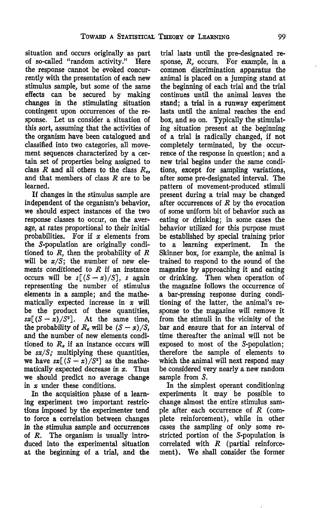situation and occurs originally as part of so-called "random activity." Here the response cannot be evoked concurrently with the presentation of each new stimulus sample, but some of the same effects can be secured by making changes in the stimulating situation contingent upon occurrences of the response. Let us consider a situation of this sort, assuming that the activities of the organism have been catalogued and classified into two categories, all movement sequences characterized by a certain set of properties being assigned to class *R* and all others to the class *Re,* and that members of class *R* are to be learned.

If changes in the stimulus sample are independent of the organism's behavior, we should expect instances of the two response classes to occur, on the average, at rates proportional to their initial probabilities. For if *x* elements from the S-population are originally conditioned to *R,* then the probability of *R* will be  $x/S$ ; the number of new elements conditioned to *R* if an instance occurs will be  $s[(S-x)/S]$ , *s* again representing the number of stimulus elements in a sample; and the mathematically expected increase in *x* will be the product of these quantities,  $sx[(S-x)/S^2]$ . At the same time, the probability of  $R_e$  will be  $(S - x)/S$ , and the number of new elements conditioned to *Re* if an instance occurs will be *sx/S;* multiplying these quantities, we have  $sx[(S-x)/S^2]$  as the mathematically expected decrease in *x.* Thus we should predict no average change in *x* under these conditions.

In the acquisition phase of a learning experiment two important restrictions imposed by the experimenter tend to force a correlation between changes in the stimulus sample and occurrences of *R.* The organism is usually introduced into the experimental situation at the beginning of a trial, and the

trial lasts until the pre-designated response, *R,* occurs. For example, in a common discrimination apparatus the animal is placed on a jumping stand at the beginning of each trial and the trial continues until the animal leaves the stand; a trial in a runway experiment lasts until the animal reaches the end box, and so on. Typically the stimulating situation present at the beginning of a trial is radically changed, if not completely terminated, by the occurrence of the response in question; and a new trial begins under the same conditions, except for sampling variations, after some pre-designated interval. The pattern of movement-produced stimuli present during a trial may be changed after occurrences of *R* by the evocation of some uniform bit of behavior such as eating or drinking; in some cases the behavior utilized for this purpose must be established by special training prior to a learning experiment. In the Skinner box, for example, the animal is trained to respond to the sound of the magazine by approaching it and eating or drinking. Then when operation of the magazine follows the occurrence of a bar-pressing response during conditioning of the latter, the animal's response to the magazine will remove it from the stimuli in the vicinity of the bar and ensure that for an interval of time thereafter the animal will not be exposed to most of the S-population; therefore the sample of elements to which the animal will next respond may be considered very nearly a new random sample from *S.*

In the simplest operant conditioning experiments it may be possible to change almost the entire stimulus sample after each occurrence of *R* (complete reinforcement), while in other cases the sampling of only some restricted portion of the S-population is correlated with *R* (partial reinforcement). We shall consider the former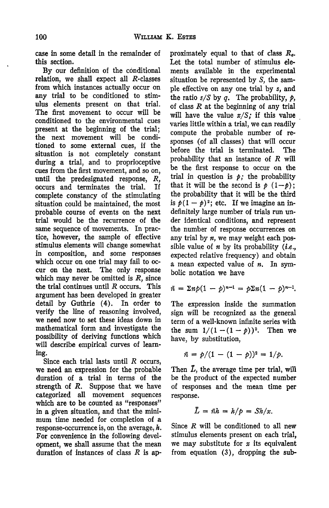case in some detail in the remainder of this section.

By our definition of the conditional relation, we shall expect all  $R$ -classes from which instances actually occur on any trial to be conditioned to stimulus elements present on that trial. The first movement to occur will be conditioned to the environmental cues present at the beginning of the trial; the next movement will be conditioned to some external cues, if the situation is not completely constant during a trial, and to proprioceptive cues from the first movement, and so on, until the predesignated response, *R,* occurs and terminates the trial. complete constancy of the stimulating situation could be maintained, the most probable course of events on the next trial would be the recurrence of the same sequence of movements. In practice, however, the sample of effective stimulus elements will change somewhat in composition, and some responses which occur on one trial may fail to occur on the next. The only response which may never be omitted is *R,* since the trial continues until *R* occurs. This argument has been developed in greater detail by Guthrie (4). In order to verify the line of reasoning involved, we need now to set these ideas down in mathematical form and investigate the possibility of deriving functions which will describe empirical curves of learning.

Since each trial lasts until *R* occurs, we need an expression for the probable duration of a trial in terms of the strength of *R.* Suppose that we have categorized all movement sequences which are to be counted as "responses" in a given situation, and that the minimum time needed for completion of a response-occurrence is, on the average, *h.* For convenience in the following development, we shall assume that the mean duration of instances of class *R* is approximately equal to that of class *Re.* Let the total number of stimulus elements available in the experimental situation be represented by *S,* the sample effective on any one trial by *s,* and the ratio *s/S* by *q.* The probability, *p,* of class *R* at the beginning of any trial will have the value *x/S;* if this value varies little within a trial, we can readily compute the probable number of responses (of all classes) that will occur before the trial is terminated. The probability that an instance of *R* will be the first response to occur on the trial in question is  $p$ ; the probability that it will be the second is  $p(1-p)$ ; the probability that it will be the third is  $p(1-p)^2$ ; etc. If we imagine an indefinitely large number of trials run under identical conditions, and represent the number of response occurrences on any trial by *n,* we may weight each possible value of *n* by its probability *(i.e.,* expected relative frequency) and obtain a mean expected value of *n.* In symbolic notation we have

$$
\bar{n} = \sum n p (1-p)^{n-1} = p \sum n (1-p)^{n-1}.
$$

The expression inside the summation sign will be recognized as the general term of a well-known infinite series with the sum  $1/(1 - (1 - p))^2$ . Then we have, by substitution,

$$
\bar{n} = p/(1 - (1 - p))^2 = 1/p.
$$

Then *L,* the average time per trial, will be the product of the expected number of responses and the mean time per response.

$$
\bar{L} = \bar{n}h = h/p = Sh/x.
$$

Since *R* will be conditioned to all new stimulus elements present on each trial, we may substitute for *x* its equivalent from equation (3), dropping the sub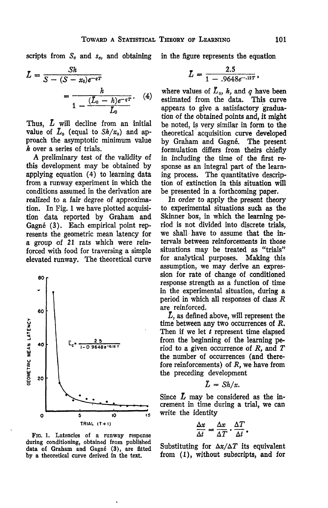scripts from  $S<sub>o</sub>$  and  $S<sub>o</sub>$ , and obtaining in the figure represents the equation

$$
\bar{L} = \frac{Sh}{S - (S - x_0)e^{-qT}}
$$

$$
= \frac{h}{1 - \frac{(\bar{L}_0 - h)e^{-qT}}{\bar{L}_0}}.
$$
(4)

Thus, *L* will decline from an initial value of  $\bar{L}_0$  (equal to  $\frac{Sh}{x_0}$ ) and approach the asymptotic minimum value *h* over a series of trials.

A preliminary test of the validity of this development may be obtained by applying equation (4) to learning data from a runway experiment in which the conditions assumed in the derivation are realized to a fair degree of approximation. In Fig. 1 we have plotted acquisition data reported by Graham and Gagn6 (3). Each empirical point represents the geometric mean latency for a group of 21 rats which were reinforced with food for traversing a simple elevated runway. The theoretical curve



FIG. 1. Latencies of a runway response during conditioning, obtained from published data of Graham and Gagné (3), are fitted by a theoretical curve derived in the text.

$$
L=\frac{2.5}{1-.9648e^{-.12T}}\,
$$

where values of  $\bar{L}_0$ , h, and q have been estimated from the data. This curve appears to give a satisfactory graduation of the obtained points and, it might be noted, is very similar in form to the theoretical acquisition curve developed by Graham and Gagn6. The present formulation differs from theirs chiefly in including the time of the first response as an integral part of the learning process. The quantitative description of extinction in this situation will be presented in a forthcoming paper.

In order to apply the present theory to experimental situations such as the Skinner box, in which the learning period is not divided into discrete trials, we shall have to assume that the intervals between reinforcements in those situations may be treated as "trials" for analytical purposes. Making this assumption, we may derive an expression for rate of change of conditioned response strength as a function of time in the experimental situation, during a period in which all responses of class *R* are reinforced.

*L,* as defined above, will represent the time between any two occurrences of *R.* Then if we let *t* represent time elapsed from the beginning of the learning period to a given occurrence of *R,* and *T* the number of occurrences (and therefore reinforcements) of *R,* we have from the preceding development

$$
\bar{L} = Sh/x.
$$

Since *L* may be considered as the increment in time during a trial, we can write the identity

$$
\frac{\Delta x}{\Delta t} = \frac{\Delta x}{\Delta T} \cdot \frac{\Delta T}{\Delta t}.
$$

Substituting for  $\Delta x/\Delta T$  its equivalent from (1), without subscripts, and for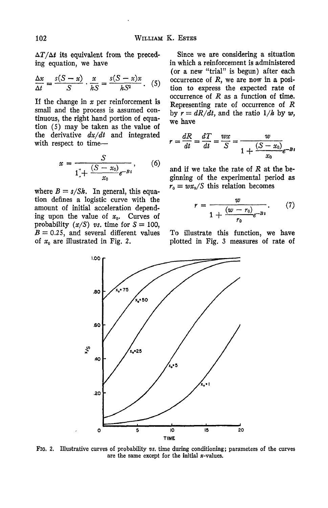$\Delta T/\Delta t$  its equivalent from the preceding equation, we have

$$
\frac{\Delta x}{\Delta t} = \frac{s(S - x)}{S} \cdot \frac{x}{hS} = \frac{s(S - x)x}{hS^2}.
$$
 (5)

If the change in *x* per reinforcement is small and the process is assumed continuous, the right hand portion of equation (S) may be taken as the value of the derivative *dx/dt* and integrated with respect to time—

$$
x = \frac{S}{1^{\tau} + \frac{(S - x_0)}{x_0} e^{-Bt}},
$$
 (6)

where  $B = s/Sh$ . In general, this equation defines a logistic curve with the amount of initial acceleration depending upon the value of  $x_0$ . Curves of probability  $(x/S)$  vs. time for  $S = 100$ ,  $B = 0.25$ , and several different values of  $x_0$  are illustrated in Fig. 2.

Since we are considering a situation in which a reinforcement is administered (or a new "trial" is begun) after each occurrence of *R,* we are now in a position to express the expected rate of occurrence of *R* as a function of time. Representing rate of occurrence of *R* by  $r = dR/dt$ , and the ratio  $1/h$  by w, we have

$$
r = \frac{dR}{dt} = \frac{dT}{dt} = \frac{wx}{S} = \frac{w}{1 + \frac{(S - x_0)}{x_0}e^{-Bt}}
$$

and if we take the rate of *R* at the beginning of the experimental period as  $r_a = w x_a/S$  this relation becomes

$$
r = \frac{w}{1 + \frac{(w - r_0)}{r_0}e^{-Bt}}.
$$
 (7)

To illustrate this function, we have plotted in Fig. 3 measures of rate of



Fio. 2. Illustrative curves of probability *vs.* time during conditioning; parameters of the curves are the same except for the initial  $x$ -values.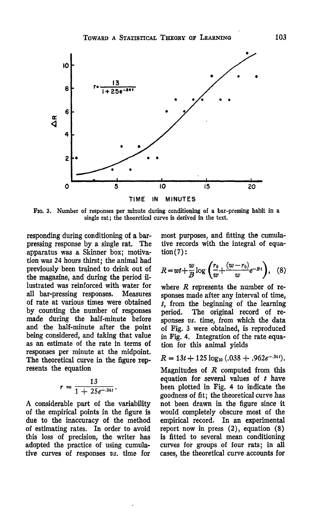

FIG. 3. Number of responses per minute during conditioning of a bar-pressing habit in a single rat*;* the theoretical curve is derived in the text.

responding during conditioning of a barpressing response by a single rat. The apparatus was a Skinner box; motivation was 24 hours thirst; the animal had previously been trained to drink out of the magazine, and during the period illustrated was reinforced with water for all bar-pressing responses. Measures of rate at various times were obtained by counting the number of responses made during the half-minute before and the half-minute after the point being considered, and taking that value as an estimate of the rate in terms of responses per minute at the midpoint. The theoretical curve in the figure represents the equation

$$
r=\frac{13}{1+25e^{-.24t}}.
$$

A considerable part of the variability of the empirical points in the figure is due to the inaccuracy of the method of estimating rates. In order to avoid this loss of precision, the writer has adopted the practice of using cumulative curves of responses *vs.* time for most purposes, and fitting the cumulative records with the integral of equation(7):

$$
R = wt + \frac{w}{B} \log \left( \frac{r_0}{w} + \frac{(w - r_0)}{w} e^{-Bt} \right), \quad (8)
$$

where *R* represents the number of responses made after any interval of time,  $t$ , from the beginning of the learning period. The original record of re-The original record of responses *vs.* time, from which the data of Fig. 3 were obtained, is reproduced in Fig, 4. Integration of the rate equation for this animal yields

$$
R = 13t + 125 \log_{10} (.038 + .962e^{-.24t}).
$$

Magnitudes of *R* computed from this equation for several values of *t* have been plotted in Fig. 4 to indicate the goodness of fit; the theoretical curve has not been drawn in the figure since it would completely obscure most of the empirical record. In an experimental report now in press (2), equation (8) is fitted to several mean conditioning curves for groups of four rats; in all cases, the theoretical curve accounts for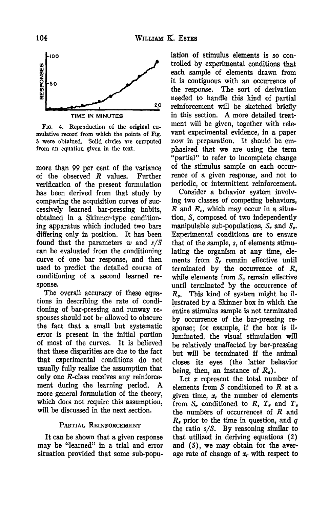

FIG. 4. Reproduction of the original cumulative record from which the points of Fig. 3 were obtained. Solid circles are computed from an equation given in the text.

more than 99 per cent of the variance of the observed *R* values. Further verification of the present formulation has been derived from that study by comparing the acquisition curves of successively learned bar-pressing habits, obtained in a Skinner-type conditioning apparatus which included two bars differing only in position. It has been found that the parameters *w* and *s/S* can be evaluated from the conditioning curve of one bar response, and then used to predict the detailed course of conditioning of a second learned response.

The overall accuracy of these equations in describing the rate of conditioning of bar-pressing and runway responses should not be allowed to obscure the fact that a small but systematic error is present in the initial portion of most of the curves. It is believed that these disparities are due to the fact that experimental conditions do not usually fully realize the assumption that only one  $R$ -class receives any reinforcement during the learning period. A more general formulation of the theory, which does not require this assumption, will be discussed in the next section.

# PARTIAL REINFORCEMENT

It can be shown that a given response may be "learned" in a trial and error situation provided that some sub-population of stimulus elements is so controlled by experimental conditions that each sample of elements drawn from it is contiguous with an occurrence of the response. The sort of derivation needed to handle this kind of partial reinforcement will be sketched briefly in this section. A more detailed treatment will be given, together with relevant experimental evidence, in a paper now in preparation. It should be emphasized that we are using the term "partial" to refer to incomplete change of the stimulus sample on each occurrence of a given response, and not to periodic, or intermittent reinforcement.

Consider a behavior system involving two classes of competing behaviors, *R* and *Re,* which may occur in a situation, *S,* composed of two independently manipulable sub-populations, *S<sup>r</sup>* and *Se.* Experimental conditions are to ensure that of the sample, *s,* of elements stimulating the organism at any time, elements from *S<sup>r</sup>* remain effective until terminated by the occurrence of *R,* while elements from *Se* remain effective until terminated by the occurrence of *Re.* This kind of system might be illustrated by a Skinner box in which the entire stimulus sample is not terminated by occurrence of the bar-pressing response; for example, if the box is illuminated, the visual stimulation will be relatively unaffected by bar-pressing but will be terminated if the animal closes its eyes (the latter behavior being, then, an instance of *Rg).*

Let *x* represent the total number of elements from *S* conditioned to *R* at a given time, *x<sup>r</sup>* the number of elements from  $S_r$  conditioned to  $R$ ,  $T_r$  and  $T_e$ the numbers of occurrences of *R* and  $R_e$  prior to the time in question, and  $q$ the ratio *s/S.* By reasoning similar to that utilized in deriving equations (2) and (S), we may obtain for the average rate of change of *x<sup>r</sup>* with respect to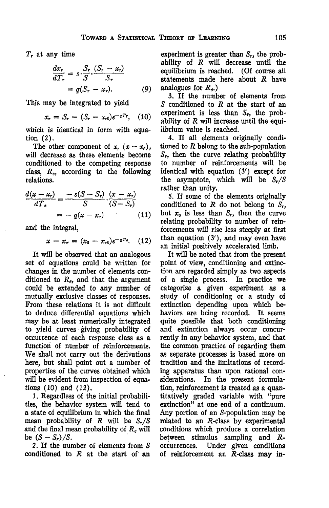*Tr* at any time

$$
\frac{dx_r}{dT_r} = s \cdot \frac{S_r}{S} \cdot \frac{(S_r - x_r)}{S_r}
$$

$$
= q(S_r - x_r). \tag{9}
$$

This may be integrated to yield

$$
x_r = S_r - (S_r - x_{r0})e^{-qT_r}, \quad (10)
$$

which is identical in form with equation (2).

The other component of  $x$ ,  $(x - x_r)$ , will decrease as these elements become conditioned to the competing response class, *Re,* according to the following relations.

$$
\frac{d(x-x_r)}{dT_e} = \frac{-s(S-S_r)}{S} \cdot \frac{(x-x_r)}{(S-S_r)}
$$

$$
= -q(x-x_r) \tag{11}
$$

and the integral,

$$
x - x_r = (x_0 - x_{r0})e^{-qT_s}.
$$
 (12)

It will be observed that an analogous set of equations could be written for changes in the number of elements conditioned to *Rg,* and that the argument could be extended to any number of mutually exclusive classes of responses. From these relations it is not difficult to deduce differential equations which may be at least numerically integrated to yield curves giving probability of occurrence of each response class as a function of number of reinforcements. We shall not carry out the derivations here, but shall point out a number of properties of the curves obtained which will be evident from inspection of equations (10) and (12).

1. Regardless of the initial probabilities, the behavior system will tend to a state of equilibrium in which the final mean probability of *R* will be *S<sup>r</sup> /S* and the final mean probability of *Re* will be  $(S - S_r)/S$ .

2. If the number of elements from S conditioned to *R* at the start of an experiment is greater than *S<sup>r</sup> ,* the probability of *R* will decrease until the equilibrium is reached. (Of course all statements made here about *R* have analogues for *Re.)*

3. If the number of elements from S conditioned to *R* at the start of an experiment is less than *S<sup>r</sup> ,* the probability of *R* will increase until the equilibrium value is reached.

4. If all elements originally conditioned to *R* belong to the sub-population *S<sub>r</sub>*, then the curve relating probability to number of reinforcements will be identical with equation (3') except for the asymptote, which will be *S<sup>r</sup> /S* rather than unity.

5. If some of the elements originally conditioned to *R* do not belong to *S<sup>r</sup> ,* but  $x_0$  is less than  $S_r$ , then the curve relating probability to number of reinforcements will rise less steeply at first than equation (3'), and may even have an initial positively accelerated limb.

It will be noted that from the present point of view, conditioning and extinction are regarded simply as two aspects of a single process. In practice we categorize a given experiment as a study of conditioning or a study of extinction depending upon which behaviors are being recorded. It seems quite possible that both conditioning and extinction always occur concurrently in any behavior system, and that the common practice of regarding them as separate processes is based more on tradition and the limitations of recording apparatus than upon rational considerations. In the present formulation, reinforcement is treated as a quantitatively graded variable with "pure extinction" at one end of a continuum. Any portion of an S-population may be related to an  $R$ -class by experimental conditions which produce a correlation between stimulus sampling and *R*occurrences. Under given conditions of reinforcement an  $R$ -class may in-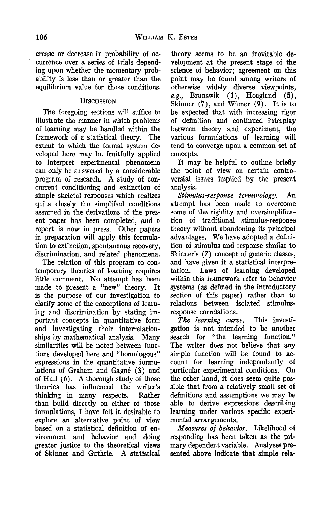crease or decrease in probability of occurrence over a series of trials depending upon whether the momentary probability is less than or greater than the equilibrium value for those conditions.

# DISCUSSION

The foregoing sections will suffice to illustrate the manner in which problems of learning may be handled within the framework of a statistical theory. The extent to which the formal system developed here may be fruitfully applied to interpret experimental phenomena can only be answered by a considerable program of research. A study of concurrent conditioning and extinction of simple skeletal responses which realizes quite closely the simplified conditions assumed in the derivations of the present paper has been completed, and a report is now in press. Other papers in preparation will apply this formulation to extinction, spontaneous recovery, discrimination, and related phenomena.

The relation of this program to contemporary theories of learning requires little comment. No attempt has been<br>made to present a "new" theory. It made to present a "new" theory. is the purpose of our investigation to clarify some of the conceptions of learning and discrimination by stating important concepts in quantitative form and investigating their interrelationships by mathematical analysis. Many similarities will be noted between functions developed here and "homologous" expressions in the quantitative formulations of Graham and Gagné (3) and of Hull (6). A thorough study of those theories has influenced the writer's thinking in many respects. Rather than build directly on either of those formulations, I have felt it desirable to explore an alternative point of view based on a statistical definition of environment and behavior and doing greater justice to the theoretical views of Skinner and Guthrie. A statistical theory seems to be an inevitable development at the present stage of the science of behavior; agreement on this point may be found among writers of otherwise widely diverse viewpoints, *e.g.,* Brunswik (1), Hoagland (5), Skinner (7), and Wiener (9). It is to be expected that with increasing rigor of definition and continued interplay between theory and experiment, the various formulations of learning will tend to converge upon a common set of concepts.

It may be helpful to outline briefly the point of view on certain controversial issues implied by the present analysis.

*Stimulus-response terminology.* An attempt has been made to overcome some of the rigidity and oversimplification of traditional stimulus-response theory without abandoning its principal advantages. We have adopted a definition of stimulus and response similar to Skinner's (7) concept of generic classes, and have given it a statistical interpre-<br>tation. Laws of learning developed Laws of learning developed within this framework refer to behavior systems (as defined in the introductory section of this paper) rather than to relations between isolated stimulusresponse correlations.

*The learning curve.* This investigation is not intended to be another search for "the learning function." The writer does not believe that any simple function will be found to account for learning independently of particular experimental conditions. On the other hand, it does seem quite possible that from a relatively small set of definitions and assumptions we may be able to derive expressions describing learning under various specific experimental arrangements.

*Measures of behavior.* Likelihood of responding has been taken as the primary dependent variable. Analyses presented above indicate that simple rela-